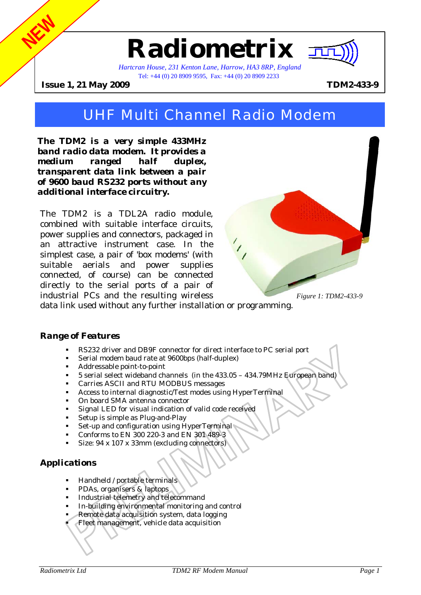# **Radiometrix**



*Hartcran House, 231 Kenton Lane, Harrow, HA3 8RP, England*  Tel: +44 (0) 20 8909 9595, Fax: +44 (0) 20 8909 2233

**Issue 1, 21 May 2009 TDM2-433-9**

**NEW**

# UHF Multi Channel Radio Modem

*The TDM2 is a very simple 433MHz band radio data modem. It provides a medium ranged half duplex, transparent data link between a pair of 9600 baud RS232 ports without any additional interface circuitry.* 

The TDM2 is a TDL2A radio module, combined with suitable interface circuits, power supplies and connectors, packaged in an attractive instrument case. In the simplest case, a pair of 'box modems' (with suitable aerials and power supplies connected, of course) can be connected directly to the serial ports of a pair of industrial PCs and the resulting wireless



data link used without any further installation or programming.

#### *Range of Features*

- ! RS232 driver and DB9F connector for direct interface to PC serial port
- Serial modem baud rate at 9600bps (half-duplex)
- ! Addressable point-to-point
- ! 5 serial select wideband channels (in the 433.05 434.79MHz European band)
- ! Carries ASCII and RTU MODBUS messages
- ! Access to internal diagnostic/Test modes using HyperTerminal
- ! On board SMA antenna connector
- Signal LED for visual indication of valid code received
- Setup is simple as Plug-and-Play
- Set-up and configuration using HyperTerminal
- ! Conforms to EN 300 220-3 and EN 301 489-3
- Size: 94 x 107 x 33mm (excluding connectors)

# *Applications*

- ! Handheld / portable terminals
- ! PDAs, organisers & laptops
- ! Industrial telemetry and telecommand
- In-building environmental monitoring and control
- Remote data acquisition system, data logging
- ! Fleet management, vehicle data acquisition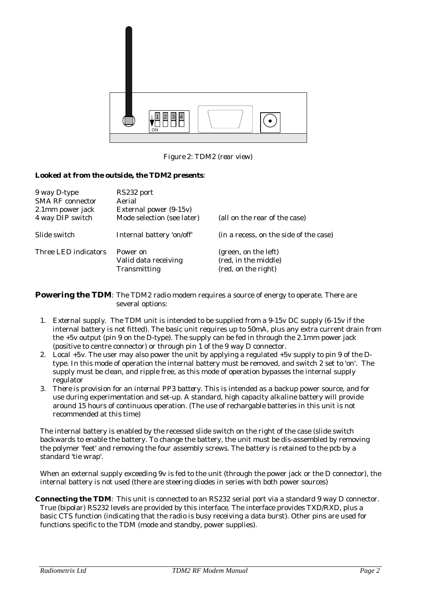

*Figure 2: TDM2 (rear view)* 

#### *Looked at from the outside, the TDM2 presents:*

| 9 way D-type<br><b>SMA RF</b> connector<br>2.1mm power jack<br>4 way DIP switch | RS232 port<br>Aerial<br>External power (9-15v)<br>Mode selection (see later) | (all on the rear of the case)                                       |
|---------------------------------------------------------------------------------|------------------------------------------------------------------------------|---------------------------------------------------------------------|
| Slide switch                                                                    | Internal battery 'on/off'                                                    | (in a recess, on the side of the case)                              |
| Three LED indicators                                                            | Power on<br>Valid data receiving<br>Transmitting                             | (green, on the left)<br>(red, in the middle)<br>(red, on the right) |

**Powering the TDM**: The TDM2 radio modem requires a source of energy to operate. There are several options:

- 1. *External supply*. The TDM unit is intended to be supplied from a 9-15v DC supply (6-15v if the internal battery is not fitted). The basic unit requires up to 50mA, plus any extra current drain from the +5v output (pin 9 on the D-type). The supply can be fed in through the 2.1mm power jack (positive to centre connector) or through pin 1 of the 9 way D connector.
- 2. *Local +5v*. The user may also power the unit by applying a regulated +5v supply to pin 9 of the Dtype. In this mode of operation the internal battery must be removed, and switch 2 set to 'on'. The supply must be clean, and ripple free, as this mode of operation bypasses the internal supply regulator
- 3. *There is provision for an internal PP3 battery*. This is intended as a backup power source, and for use during experimentation and set-up. A standard, high capacity alkaline battery will provide around 15 hours of continuous operation. (The use of rechargable batteries in this unit is not recommended at this time)

The internal battery is enabled by the recessed slide switch on the right of the case (slide switch backwards to enable the battery. To change the battery, the unit must be dis-assembled by removing the polymer 'feet' and removing the four assembly screws. The battery is retained to the pcb by a standard 'tie wrap'.

When an external supply exceeding 9v is fed to the unit (through the power jack or the D connector), the internal battery is not used (there are steering diodes in series with both power sources)

**Connecting the TDM**: This unit is connected to an RS232 serial port via a standard 9 way D connector. True (bipolar) RS232 levels are provided by this interface. The interface provides TXD/RXD, plus a basic CTS function (indicating that the radio is busy receiving a data burst). Other pins are used for functions specific to the TDM (mode and standby, power supplies).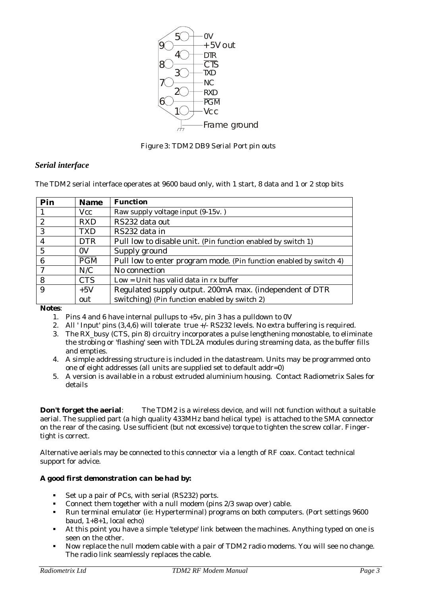

*Figure 3: TDM2 DB9 Serial Port pin outs* 

## *Serial interface*

The TDM2 serial interface operates at 9600 baud only, with 1 start, 8 data and 1 or 2 stop bits

| Pin              | <b>Name</b> | <b>Function</b>                                                    |
|------------------|-------------|--------------------------------------------------------------------|
|                  | <b>Vcc</b>  | Raw supply voltage input (9-15v.)                                  |
| $\boldsymbol{2}$ | <b>RXD</b>  | RS232 data out                                                     |
| 3                | <b>TXD</b>  | RS232 data in                                                      |
| 4                | <b>DTR</b>  | Pull low to disable unit. (Pin function enabled by switch 1)       |
| 5                | 0V          | Supply ground                                                      |
| 6                | <b>PGM</b>  | Pull low to enter program mode. (Pin function enabled by switch 4) |
| ⇁                | N/C         | No connection                                                      |
| 8                | <b>CTS</b>  | $Low = Unit$ has valid data in rx buffer                           |
| 9                | $+5V$       | Regulated supply output. 200mA max. (independent of DTR            |
|                  | out         | switching) (Pin function enabled by switch 2)                      |

*Notes*:

- 1. Pins 4 and 6 have internal pullups to +5v, pin 3 has a pulldown to 0V
- 2. All 'Input' pins  $(3,4,6)$  will tolerate true  $+\sqrt{-}$  RS232 levels. No extra buffering is required.
- 3. The RX\_busy (CTS, pin 8) circuitry incorporates a pulse lengthening monostable, to eliminate the strobing or 'flashing' seen with TDL2A modules during streaming data, as the buffer fills and empties.
- 4. A simple addressing structure is included in the datastream. Units may be programmed onto one of eight addresses (all units are supplied set to default addr=0)
- 5. A version is available in a robust extruded aluminium housing. Contact Radiometrix Sales for details

**Don't forget the aerial**: The TDM2 is a wireless device, and will not function without a suitable aerial. The supplied part (a high quality 433MHz band helical type) is attached to the SMA connector on the rear of the casing. Use sufficient (but not excessive) torque to tighten the screw collar. Fingertight is correct.

Alternative aerials may be connected to this connector via a length of RF coax. Contact technical support for advice.

#### *A good first demonstration can be had by:*

- ! Set up a pair of PCs, with serial (RS232) ports.
- ! Connect them together with a null modem (pins 2/3 swap over) cable.
- ! Run terminal emulator (ie: Hyperterminal) programs on both computers. (Port settings 9600 baud, 1+8+1, local echo)
- ! At this point you have a simple 'teletype' link between the machines. Anything typed on one is seen on the other.
- ! Now replace the null modem cable with a pair of TDM2 radio modems. You will see no change. The radio link seamlessly replaces the cable.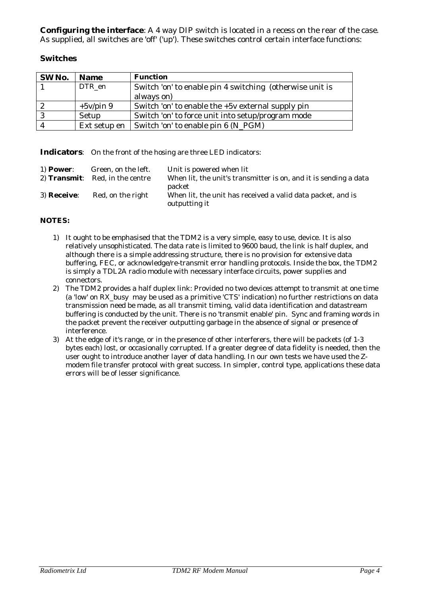**Configuring the interface**: A 4 way DIP switch is located in a recess on the rear of the case. As supplied, all switches are 'off' ('up'). These switches control certain interface functions:

#### **Switches**

| SW No. | <b>Name</b>  | <b>Function</b>                                          |
|--------|--------------|----------------------------------------------------------|
|        | DTR en       | Switch 'on' to enable pin 4 switching (otherwise unit is |
|        |              | always on)                                               |
|        | $+5v$ /pin 9 | Switch 'on' to enable the $+5v$ external supply pin      |
| -3     | Setup        | Switch 'on' to force unit into setup/program mode        |
|        | Ext setup en | Switch 'on' to enable pin 6 (N_PGM)                      |

**Indicators**: On the front of the hosing are three LED indicators:

| $1)$ Power: | Green, on the left.                    | Unit is powered when lit                                                               |
|-------------|----------------------------------------|----------------------------------------------------------------------------------------|
|             | 2) <b>Transmit:</b> Red, in the centre | When lit, the unit's transmitter is on, and it is sending a data                       |
| 3) Receive: | Red, on the right                      | packet<br>When lit, the unit has received a valid data packet, and is<br>outputting it |

#### *NOTES:*

- 1) It ought to be emphasised that the TDM2 is a very simple, easy to use, device. It is also relatively unsophisticated. The data rate is limited to 9600 baud, the link is half duplex, and although there is a simple addressing structure, there is no provision for extensive data buffering, FEC, or acknowledge/re-transmit error handling protocols. Inside the box, the TDM2 is simply a TDL2A radio module with necessary interface circuits, power supplies and connectors.
- 2) The TDM2 provides a half duplex link: Provided no two devices attempt to transmit at one time (a 'low' on RX\_busy may be used as a primitive 'CTS' indication) no further restrictions on data transmission need be made, as all transmit timing, valid data identification and datastream buffering is conducted by the unit. There is no 'transmit enable' pin. Sync and framing words in the packet prevent the receiver outputting garbage in the absence of signal or presence of interference.
- 3) At the edge of it's range, or in the presence of other interferers, there will be packets (of 1-3 bytes each) lost, or occasionally corrupted. If a greater degree of data fidelity is needed, then the user ought to introduce another layer of data handling. In our own tests we have used the Zmodem file transfer protocol with great success. In simpler, control type, applications these data errors will be of lesser significance.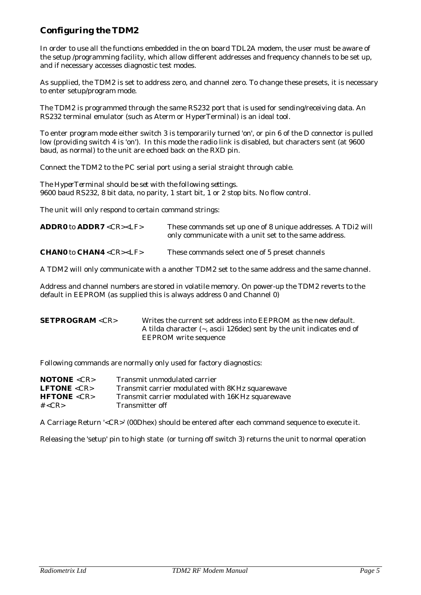# *Configuring the TDM2*

In order to use all the functions embedded in the on board TDL2A modem, the user must be aware of the setup /programming facility, which allow different addresses and frequency channels to be set up, and if necessary accesses diagnostic test modes.

As supplied, the TDM2 is set to address zero, and channel zero. To change these presets, it is necessary to enter setup/program mode.

The TDM2 is programmed through the same RS232 port that is used for sending/receiving data. An RS232 terminal emulator (such as Aterm or HyperTerminal) is an ideal tool.

To enter program mode either switch 3 is temporarily turned 'on', or pin 6 of the D connector is pulled low (providing switch 4 is 'on'). In this mode the radio link is disabled, but characters sent (at 9600 baud, as normal) to the unit are echoed back on the RXD pin.

Connect the TDM2 to the PC serial port using a serial straight through cable.

*The HyperTerminal should be set with the following settings.*  9600 baud RS232, 8 bit data, no parity, 1 start bit, 1 or 2 stop bits. No flow control.

The unit will only respond to certain command strings:

| <b>ADDR0</b> to $ADDR7 < CR>< LF>$              | These commands set up one of 8 unique addresses. A TDi2 will<br>only communicate with a unit set to the same address. |
|-------------------------------------------------|-----------------------------------------------------------------------------------------------------------------------|
| <b>CHANO</b> to <b>CHAN4</b> <cr><lf></lf></cr> | These commands select one of 5 preset channels                                                                        |

A TDM2 will only communicate with a another TDM2 set to the same address and the same channel.

Address and channel numbers are stored in volatile memory. On power-up the TDM2 reverts to the default in EEPROM (as supplied this is always address 0 and Channel 0)

| <b>SETPROGRAM <cr></cr></b> | Writes the current set address into EEPROM as the new default.               |
|-----------------------------|------------------------------------------------------------------------------|
|                             | A tilda character $(\sim$ , ascii 126 dec) sent by the unit indicates end of |
|                             | <b>EEPROM</b> write sequence                                                 |

Following commands are normally only used for factory diagnostics:

| <b>NOTONE</b> < $CR$ > | Transmit unmodulated carrier                     |
|------------------------|--------------------------------------------------|
| <b>LFTONE</b> < $CR$ > | Transmit carrier modulated with 8KHz squarewave  |
| HFTONE < CR            | Transmit carrier modulated with 16KHz squarewave |
| # $<$ CR $>$           | Transmitter off                                  |

A Carriage Return '<CR>' (00Dhex) should be entered after each command sequence to execute it.

Releasing the 'setup' pin to high state (or turning off switch 3) returns the unit to normal operation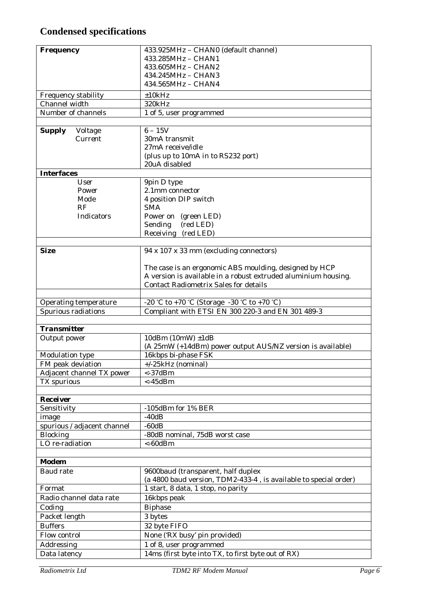# **Condensed specifications**

| <b>Frequency</b>                    | 433.925MHz - CHAN0 (default channel)                             |
|-------------------------------------|------------------------------------------------------------------|
|                                     | 433.285MHz - CHAN1                                               |
|                                     | 433.605MHz - CHAN2                                               |
|                                     | 434.245MHz - CHAN3                                               |
|                                     | 434.565MHz - CHAN4                                               |
| Frequency stability                 | ±10kHz                                                           |
| Channel width<br>Number of channels | 320kHz                                                           |
|                                     | 1 of 5, user programmed                                          |
| <b>Supply</b><br>Voltage            | $6 - 15V$                                                        |
| <b>Current</b>                      | 30mA transmit                                                    |
|                                     | 27mA receive/idle                                                |
|                                     | (plus up to 10mA in to RS232 port)                               |
|                                     | 20uA disabled                                                    |
| <b>Interfaces</b>                   |                                                                  |
| <b>User</b>                         | 9pin D type                                                      |
| Power                               | 2.1mm connector                                                  |
| Mode<br>RF                          | 4 position DIP switch<br><b>SMA</b>                              |
| <b>Indicators</b>                   | Power on (green LED)                                             |
|                                     | (red LED)<br>Sending                                             |
|                                     | Receiving (red LED)                                              |
|                                     |                                                                  |
| <b>Size</b>                         | 94 x 107 x 33 mm (excluding connectors)                          |
|                                     |                                                                  |
|                                     | The case is an ergonomic ABS moulding, designed by HCP           |
|                                     | A version is available in a robust extruded aluminium housing.   |
|                                     | <b>Contact Radiometrix Sales for details</b>                     |
| Operating temperature               | -20 °C to +70 °C (Storage -30 °C to +70 °C)                      |
| Spurious radiations                 | Compliant with ETSI EN 300 220-3 and EN 301 489-3                |
|                                     |                                                                  |
| <b>Transmitter</b>                  |                                                                  |
| Output power                        | 10dBm $(10mW) \pm 1dB$                                           |
|                                     | (A 25mW (+14dBm) power output AUS/NZ version is available)       |
| Modulation type                     | 16kbps bi-phase FSK                                              |
| FM peak deviation                   | +/-25kHz (nominal)                                               |
| Adjacent channel TX power           | $<$ -37dBm                                                       |
| <b>TX</b> spurious                  | $<$ -45dBm                                                       |
| <b>Receiver</b>                     |                                                                  |
| Sensitivity                         | -105dBm for 1% BER                                               |
| image                               | $-40dB$                                                          |
| spurious / adjacent channel         | $-60dB$                                                          |
| <b>Blocking</b>                     | -80dB nominal, 75dB worst case                                   |
| LO re-radiation                     | $< -60$ d $Bm$                                                   |
|                                     |                                                                  |
| <b>Modem</b>                        |                                                                  |
| <b>Baud rate</b>                    | 9600baud (transparent, half duplex                               |
|                                     | (a 4800 baud version, TDM2-433-4, is available to special order) |
| Format                              | 1 start, 8 data, 1 stop, no parity                               |
| Radio channel data rate             | 16kbps peak                                                      |
| Coding                              | <b>Biphase</b>                                                   |
| Packet length                       | 3 bytes                                                          |
| <b>Buffers</b>                      | 32 byte FIFO                                                     |
| Flow control                        | None ('RX busy' pin provided)                                    |
| Addressing                          | 1 of 8, user programmed                                          |
| Data latency                        | 14ms (first byte into TX, to first byte out of RX)               |